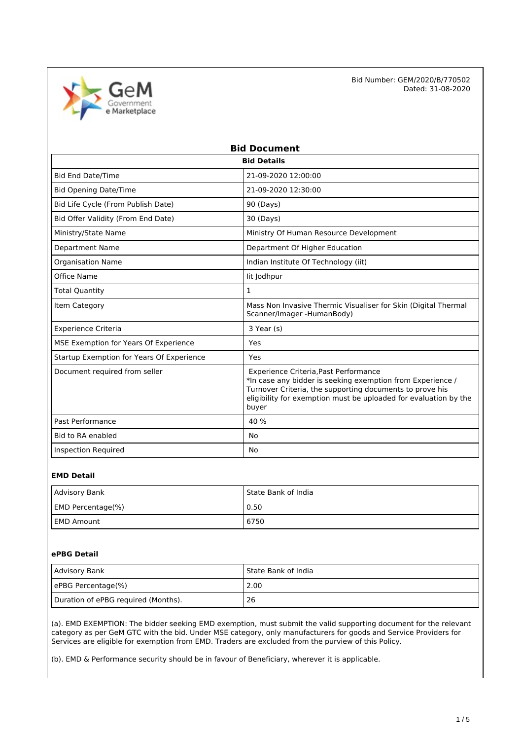

| <b>Bid Document</b>                       |                                                                                                                                                                                                                                              |  |  |
|-------------------------------------------|----------------------------------------------------------------------------------------------------------------------------------------------------------------------------------------------------------------------------------------------|--|--|
| <b>Bid Details</b>                        |                                                                                                                                                                                                                                              |  |  |
| <b>Bid End Date/Time</b>                  | 21-09-2020 12:00:00                                                                                                                                                                                                                          |  |  |
| <b>Bid Opening Date/Time</b>              | 21-09-2020 12:30:00                                                                                                                                                                                                                          |  |  |
| Bid Life Cycle (From Publish Date)        | 90 (Days)                                                                                                                                                                                                                                    |  |  |
| Bid Offer Validity (From End Date)        | 30 (Days)                                                                                                                                                                                                                                    |  |  |
| Ministry/State Name                       | Ministry Of Human Resource Development                                                                                                                                                                                                       |  |  |
| <b>Department Name</b>                    | Department Of Higher Education                                                                                                                                                                                                               |  |  |
| <b>Organisation Name</b>                  | Indian Institute Of Technology (iit)                                                                                                                                                                                                         |  |  |
| Office Name                               | lit Jodhpur                                                                                                                                                                                                                                  |  |  |
| <b>Total Quantity</b>                     | $\mathbf{1}$                                                                                                                                                                                                                                 |  |  |
| Item Category                             | Mass Non Invasive Thermic Visualiser for Skin (Digital Thermal<br>Scanner/Imager-HumanBody)                                                                                                                                                  |  |  |
| <b>Experience Criteria</b>                | 3 Year (s)                                                                                                                                                                                                                                   |  |  |
| MSE Exemption for Years Of Experience     | Yes                                                                                                                                                                                                                                          |  |  |
| Startup Exemption for Years Of Experience | Yes                                                                                                                                                                                                                                          |  |  |
| Document required from seller             | Experience Criteria, Past Performance<br>*In case any bidder is seeking exemption from Experience /<br>Turnover Criteria, the supporting documents to prove his<br>eligibility for exemption must be uploaded for evaluation by the<br>buyer |  |  |
| Past Performance                          | 40 %                                                                                                                                                                                                                                         |  |  |
| Bid to RA enabled                         | <b>No</b>                                                                                                                                                                                                                                    |  |  |
| <b>Inspection Required</b>                | No                                                                                                                                                                                                                                           |  |  |

## **EMD Detail**

| Advisory Bank     | l State Bank of India |
|-------------------|-----------------------|
| EMD Percentage(%) | 0.50                  |
| l EMD Amount      | 6750                  |

# **ePBG Detail**

| Advisory Bank                       | l State Bank of India |
|-------------------------------------|-----------------------|
| ePBG Percentage(%)                  | 2.00                  |
| Duration of ePBG required (Months). | 26                    |

(a). EMD EXEMPTION: The bidder seeking EMD exemption, must submit the valid supporting document for the relevant category as per GeM GTC with the bid. Under MSE category, only manufacturers for goods and Service Providers for Services are eligible for exemption from EMD. Traders are excluded from the purview of this Policy.

(b). EMD & Performance security should be in favour of Beneficiary, wherever it is applicable.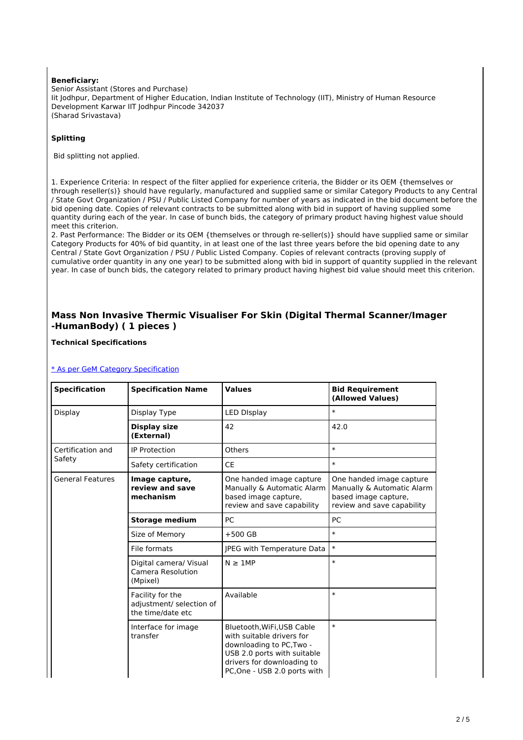#### **Beneficiary:**

Senior Assistant (Stores and Purchase) Iit Jodhpur, Department of Higher Education, Indian Institute of Technology (IIT), Ministry of Human Resource Development Karwar IIT Jodhpur Pincode 342037 (Sharad Srivastava)

## **Splitting**

Bid splitting not applied.

1. Experience Criteria: In respect of the filter applied for experience criteria, the Bidder or its OEM {themselves or through reseller(s)} should have regularly, manufactured and supplied same or similar Category Products to any Central / State Govt Organization / PSU / Public Listed Company for number of years as indicated in the bid document before the bid opening date. Copies of relevant contracts to be submitted along with bid in support of having supplied some quantity during each of the year. In case of bunch bids, the category of primary product having highest value should meet this criterion.

2. Past Performance: The Bidder or its OEM {themselves or through re-seller(s)} should have supplied same or similar Category Products for 40% of bid quantity, in at least one of the last three years before the bid opening date to any Central / State Govt Organization / PSU / Public Listed Company. Copies of relevant contracts (proving supply of cumulative order quantity in any one year) to be submitted along with bid in support of quantity supplied in the relevant year. In case of bunch bids, the category related to primary product having highest bid value should meet this criterion.

# **Mass Non Invasive Thermic Visualiser For Skin (Digital Thermal Scanner/Imager -HumanBody) ( 1 pieces )**

### **Technical Specifications**

### [\\* As per GeM Category Specification](https://bidplus.gem.gov.in/bidding/bid/showCatalogue/X3aTZLiQ3ifmQO4JGy9wSSiQ_pNweW47SpqsujXeeRc)

| <b>Specification</b>    | <b>Specification Name</b>                                         | <b>Values</b>                                                                                                                                                                    | <b>Bid Requirement</b><br>(Allowed Values)                                                                   |
|-------------------------|-------------------------------------------------------------------|----------------------------------------------------------------------------------------------------------------------------------------------------------------------------------|--------------------------------------------------------------------------------------------------------------|
| Display                 | Display Type                                                      | <b>LED DIsplay</b>                                                                                                                                                               | $\ast$                                                                                                       |
|                         | Display size<br>(External)                                        | 42                                                                                                                                                                               | 42.0                                                                                                         |
| Certification and       | <b>IP Protection</b>                                              | Others                                                                                                                                                                           | $\ast$                                                                                                       |
| Safety                  | Safety certification                                              | <b>CE</b>                                                                                                                                                                        | $\ast$                                                                                                       |
| <b>General Features</b> | Image capture,<br>review and save<br>mechanism                    | One handed image capture<br>Manually & Automatic Alarm<br>based image capture,<br>review and save capability                                                                     | One handed image capture<br>Manually & Automatic Alarm<br>based image capture,<br>review and save capability |
|                         | <b>Storage medium</b>                                             | <b>PC</b>                                                                                                                                                                        | PC                                                                                                           |
|                         | Size of Memory                                                    | $+500$ GB                                                                                                                                                                        | $\ast$                                                                                                       |
|                         | File formats                                                      | JPEG with Temperature Data                                                                                                                                                       | $\ast$                                                                                                       |
|                         | Digital camera/ Visual<br>Camera Resolution<br>(Mpixel)           | $N \geq 1MP$                                                                                                                                                                     | $\ast$                                                                                                       |
|                         | Facility for the<br>adjustment/ selection of<br>the time/date etc | Available                                                                                                                                                                        | $\ast$                                                                                                       |
|                         | Interface for image<br>transfer                                   | Bluetooth, WiFi, USB Cable<br>with suitable drivers for<br>downloading to PC, Two -<br>USB 2.0 ports with suitable<br>drivers for downloading to<br>PC, One - USB 2.0 ports with | $\ast$                                                                                                       |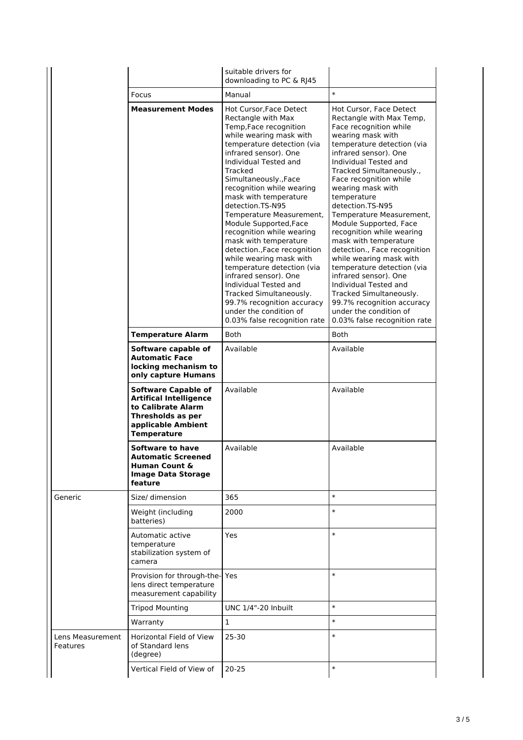|                                                      |                                                                                                                                                    | suitable drivers for<br>downloading to PC & RJ45                                                                                                                                                                                                                                                                                                                                                                                                                                                                                                                                                                                                                           |                                                                                                                                                                                                                                                                                                                                                                                                                                                                                                                                                                                                                                                                            |
|------------------------------------------------------|----------------------------------------------------------------------------------------------------------------------------------------------------|----------------------------------------------------------------------------------------------------------------------------------------------------------------------------------------------------------------------------------------------------------------------------------------------------------------------------------------------------------------------------------------------------------------------------------------------------------------------------------------------------------------------------------------------------------------------------------------------------------------------------------------------------------------------------|----------------------------------------------------------------------------------------------------------------------------------------------------------------------------------------------------------------------------------------------------------------------------------------------------------------------------------------------------------------------------------------------------------------------------------------------------------------------------------------------------------------------------------------------------------------------------------------------------------------------------------------------------------------------------|
|                                                      | Focus                                                                                                                                              | Manual                                                                                                                                                                                                                                                                                                                                                                                                                                                                                                                                                                                                                                                                     | $\ast$                                                                                                                                                                                                                                                                                                                                                                                                                                                                                                                                                                                                                                                                     |
| <b>Measurement Modes</b><br><b>Temperature Alarm</b> |                                                                                                                                                    | Hot Cursor, Face Detect<br>Rectangle with Max<br>Temp, Face recognition<br>while wearing mask with<br>temperature detection (via<br>infrared sensor). One<br>Individual Tested and<br>Tracked<br>Simultaneously., Face<br>recognition while wearing<br>mask with temperature<br>detection.TS-N95<br>Temperature Measurement,<br>Module Supported, Face<br>recognition while wearing<br>mask with temperature<br>detection., Face recognition<br>while wearing mask with<br>temperature detection (via<br>infrared sensor). One<br>Individual Tested and<br>Tracked Simultaneously.<br>99.7% recognition accuracy<br>under the condition of<br>0.03% false recognition rate | Hot Cursor, Face Detect<br>Rectangle with Max Temp,<br>Face recognition while<br>wearing mask with<br>temperature detection (via<br>infrared sensor). One<br>Individual Tested and<br>Tracked Simultaneously.,<br>Face recognition while<br>wearing mask with<br>temperature<br>detection.TS-N95<br>Temperature Measurement,<br>Module Supported, Face<br>recognition while wearing<br>mask with temperature<br>detection., Face recognition<br>while wearing mask with<br>temperature detection (via<br>infrared sensor). One<br>Individual Tested and<br>Tracked Simultaneously.<br>99.7% recognition accuracy<br>under the condition of<br>0.03% false recognition rate |
|                                                      |                                                                                                                                                    | Both                                                                                                                                                                                                                                                                                                                                                                                                                                                                                                                                                                                                                                                                       | Both                                                                                                                                                                                                                                                                                                                                                                                                                                                                                                                                                                                                                                                                       |
|                                                      | Software capable of<br><b>Automatic Face</b><br>locking mechanism to<br>only capture Humans                                                        | Available                                                                                                                                                                                                                                                                                                                                                                                                                                                                                                                                                                                                                                                                  | Available                                                                                                                                                                                                                                                                                                                                                                                                                                                                                                                                                                                                                                                                  |
|                                                      | <b>Software Capable of</b><br><b>Artifical Intelligence</b><br>to Calibrate Alarm<br>Thresholds as per<br>applicable Ambient<br><b>Temperature</b> | Available                                                                                                                                                                                                                                                                                                                                                                                                                                                                                                                                                                                                                                                                  | Available                                                                                                                                                                                                                                                                                                                                                                                                                                                                                                                                                                                                                                                                  |
|                                                      | Software to have<br>Automatic Screened<br><b>Human Count &amp;</b><br><b>Image Data Storage</b><br>feature                                         | Available                                                                                                                                                                                                                                                                                                                                                                                                                                                                                                                                                                                                                                                                  | Available                                                                                                                                                                                                                                                                                                                                                                                                                                                                                                                                                                                                                                                                  |
| Generic                                              | Size/ dimension                                                                                                                                    | 365                                                                                                                                                                                                                                                                                                                                                                                                                                                                                                                                                                                                                                                                        | $\ast$                                                                                                                                                                                                                                                                                                                                                                                                                                                                                                                                                                                                                                                                     |
|                                                      | Weight (including<br>batteries)                                                                                                                    | 2000                                                                                                                                                                                                                                                                                                                                                                                                                                                                                                                                                                                                                                                                       | $\ast$                                                                                                                                                                                                                                                                                                                                                                                                                                                                                                                                                                                                                                                                     |
|                                                      | Automatic active<br>temperature<br>stabilization system of<br>camera                                                                               | <b>Yes</b>                                                                                                                                                                                                                                                                                                                                                                                                                                                                                                                                                                                                                                                                 | $\ast$                                                                                                                                                                                                                                                                                                                                                                                                                                                                                                                                                                                                                                                                     |
|                                                      | Provision for through-the-<br>lens direct temperature<br>measurement capability                                                                    | Yes                                                                                                                                                                                                                                                                                                                                                                                                                                                                                                                                                                                                                                                                        | $\ast$                                                                                                                                                                                                                                                                                                                                                                                                                                                                                                                                                                                                                                                                     |
|                                                      | <b>Tripod Mounting</b>                                                                                                                             | <b>UNC 1/4"-20 Inbuilt</b>                                                                                                                                                                                                                                                                                                                                                                                                                                                                                                                                                                                                                                                 | $\ast$                                                                                                                                                                                                                                                                                                                                                                                                                                                                                                                                                                                                                                                                     |
|                                                      | Warranty                                                                                                                                           | 1                                                                                                                                                                                                                                                                                                                                                                                                                                                                                                                                                                                                                                                                          | $\ast$                                                                                                                                                                                                                                                                                                                                                                                                                                                                                                                                                                                                                                                                     |
| Lens Measurement<br>Features                         | <b>Horizontal Field of View</b><br>of Standard lens<br>(degree)                                                                                    | 25-30                                                                                                                                                                                                                                                                                                                                                                                                                                                                                                                                                                                                                                                                      | $\ast$                                                                                                                                                                                                                                                                                                                                                                                                                                                                                                                                                                                                                                                                     |
|                                                      | Vertical Field of View of                                                                                                                          | $20 - 25$                                                                                                                                                                                                                                                                                                                                                                                                                                                                                                                                                                                                                                                                  | $\ast$                                                                                                                                                                                                                                                                                                                                                                                                                                                                                                                                                                                                                                                                     |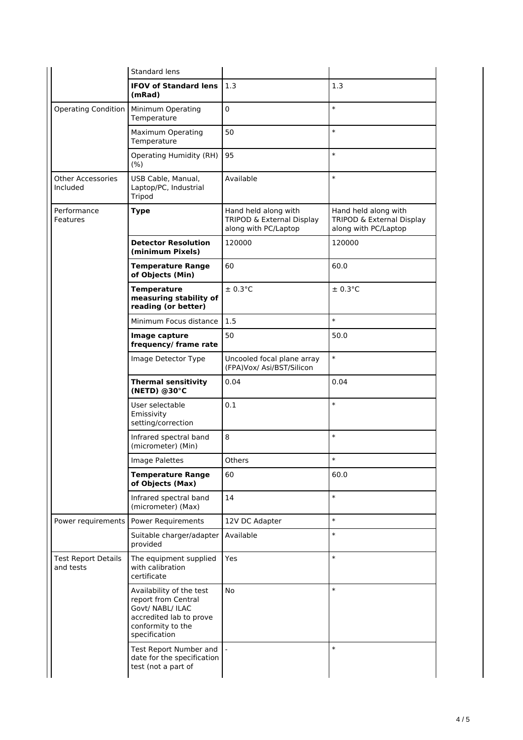|                                         | Standard lens                                                                                                                        |                                                                           |                                                                           |
|-----------------------------------------|--------------------------------------------------------------------------------------------------------------------------------------|---------------------------------------------------------------------------|---------------------------------------------------------------------------|
|                                         | <b>IFOV of Standard lens</b><br>(mRad)                                                                                               | 1.3                                                                       | 1.3                                                                       |
| <b>Operating Condition</b>              | Minimum Operating<br>Temperature                                                                                                     | 0                                                                         | $\ast$                                                                    |
|                                         | Maximum Operating<br>Temperature                                                                                                     | 50                                                                        | $\ast$                                                                    |
|                                         | <b>Operating Humidity (RH)</b><br>$(\% )$                                                                                            | 95                                                                        | $\ast$                                                                    |
| <b>Other Accessories</b><br>Included    | USB Cable, Manual,<br>Laptop/PC, Industrial<br>Tripod                                                                                | Available                                                                 | $\ast$                                                                    |
| Performance<br>Features                 | <b>Type</b>                                                                                                                          | Hand held along with<br>TRIPOD & External Display<br>along with PC/Laptop | Hand held along with<br>TRIPOD & External Display<br>along with PC/Laptop |
|                                         | <b>Detector Resolution</b><br>(minimum Pixels)                                                                                       | 120000                                                                    | 120000                                                                    |
|                                         | <b>Temperature Range</b><br>of Objects (Min)                                                                                         | 60                                                                        | 60.0                                                                      |
|                                         | <b>Temperature</b><br>measuring stability of<br>reading (or better)                                                                  | $± 0.3$ °C                                                                | $± 0.3$ °C                                                                |
|                                         | Minimum Focus distance                                                                                                               | 1.5                                                                       | $\ast$                                                                    |
|                                         | Image capture<br>frequency/frame rate                                                                                                | 50                                                                        | 50.0                                                                      |
|                                         | Image Detector Type                                                                                                                  | Uncooled focal plane array<br>(FPA)Vox/ Asi/BST/Silicon                   | $\ast$                                                                    |
|                                         | <b>Thermal sensitivity</b><br>(NETD) @30°C                                                                                           | 0.04                                                                      | 0.04                                                                      |
|                                         | User selectable<br>Emissivity<br>setting/correction                                                                                  | 0.1                                                                       | $\ast$                                                                    |
|                                         | Infrared spectral band<br>(micrometer) (Min)                                                                                         | 8                                                                         | $\ast$                                                                    |
|                                         | Image Palettes                                                                                                                       | Others                                                                    |                                                                           |
|                                         | <b>Temperature Range</b><br>of Objects (Max)                                                                                         | 60                                                                        | 60.0                                                                      |
|                                         | Infrared spectral band<br>(micrometer) (Max)                                                                                         | 14                                                                        | $\ast$                                                                    |
| Power requirements                      | <b>Power Requirements</b>                                                                                                            | 12V DC Adapter                                                            | $\ast$                                                                    |
|                                         | Suitable charger/adapter<br>provided                                                                                                 | Available                                                                 | $\ast$                                                                    |
| <b>Test Report Details</b><br>and tests | The equipment supplied<br>with calibration<br>certificate                                                                            | Yes                                                                       | $\ast$                                                                    |
|                                         | Availability of the test<br>report from Central<br>Govt/ NABL/ ILAC<br>accredited lab to prove<br>conformity to the<br>specification | No                                                                        | $\ast$                                                                    |
|                                         | Test Report Number and<br>date for the specification<br>test (not a part of                                                          |                                                                           | $\ast$                                                                    |